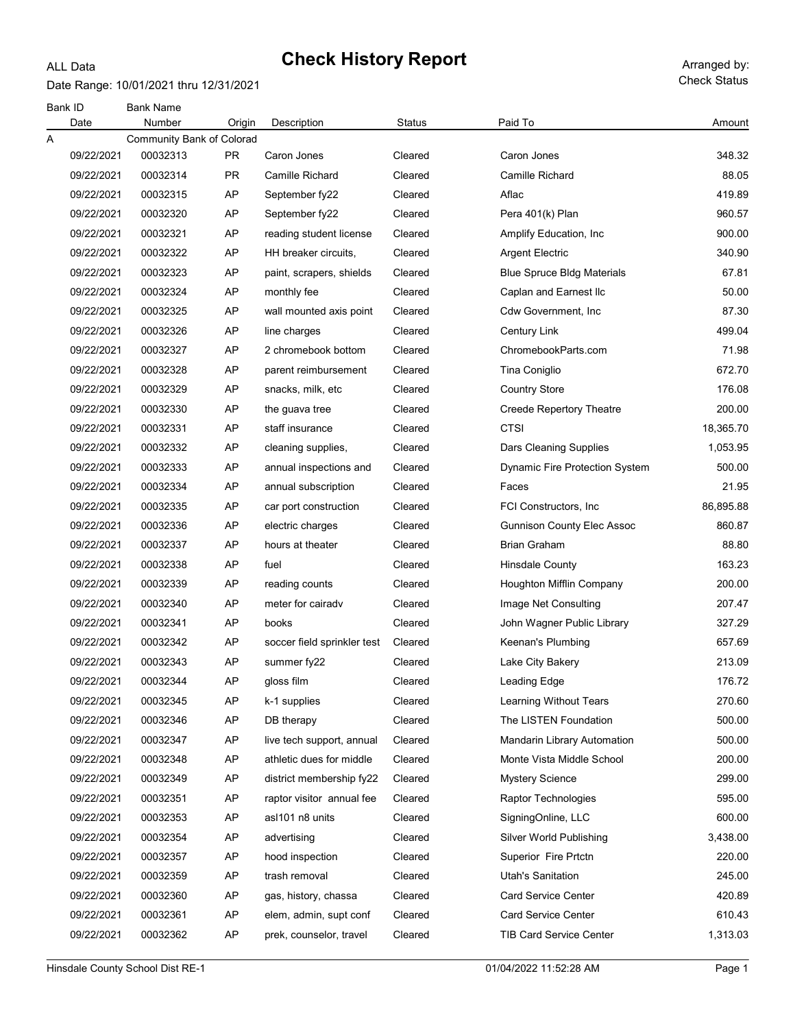#### ALL Data

# Check History Report Arranged by:

Date Range: 10/01/2021 thru 12/31/2021

| Bank ID<br>Date | <b>Bank Name</b><br>Number | Origin    | Description                 | <b>Status</b> | Paid To                           | Amount    |
|-----------------|----------------------------|-----------|-----------------------------|---------------|-----------------------------------|-----------|
| Α               | Community Bank of Colorad  |           |                             |               |                                   |           |
| 09/22/2021      | 00032313                   | <b>PR</b> | Caron Jones                 | Cleared       | Caron Jones                       | 348.32    |
| 09/22/2021      | 00032314                   | PR.       | <b>Camille Richard</b>      | Cleared       | <b>Camille Richard</b>            | 88.05     |
| 09/22/2021      | 00032315                   | AP        | September fy22              | Cleared       | Aflac                             | 419.89    |
| 09/22/2021      | 00032320                   | AP        | September fy22              | Cleared       | Pera 401(k) Plan                  | 960.57    |
| 09/22/2021      | 00032321                   | AP        | reading student license     | Cleared       | Amplify Education, Inc.           | 900.00    |
| 09/22/2021      | 00032322                   | AP        | HH breaker circuits,        | Cleared       | <b>Argent Electric</b>            | 340.90    |
| 09/22/2021      | 00032323                   | AP        | paint, scrapers, shields    | Cleared       | <b>Blue Spruce Bldg Materials</b> | 67.81     |
| 09/22/2021      | 00032324                   | AP        | monthly fee                 | Cleared       | Caplan and Earnest Ilc            | 50.00     |
| 09/22/2021      | 00032325                   | AP        | wall mounted axis point     | Cleared       | Cdw Government, Inc               | 87.30     |
| 09/22/2021      | 00032326                   | AP        | line charges                | Cleared       | Century Link                      | 499.04    |
| 09/22/2021      | 00032327                   | AP        | 2 chromebook bottom         | Cleared       | ChromebookParts.com               | 71.98     |
| 09/22/2021      | 00032328                   | AP        | parent reimbursement        | Cleared       | Tina Coniglio                     | 672.70    |
| 09/22/2021      | 00032329                   | AP        | snacks, milk, etc           | Cleared       | <b>Country Store</b>              | 176.08    |
| 09/22/2021      | 00032330                   | AP        | the guava tree              | Cleared       | <b>Creede Repertory Theatre</b>   | 200.00    |
| 09/22/2021      | 00032331                   | AP        | staff insurance             | Cleared       | <b>CTSI</b>                       | 18,365.70 |
| 09/22/2021      | 00032332                   | AP        | cleaning supplies,          | Cleared       | Dars Cleaning Supplies            | 1,053.95  |
| 09/22/2021      | 00032333                   | AP        | annual inspections and      | Cleared       | Dynamic Fire Protection System    | 500.00    |
| 09/22/2021      | 00032334                   | AP        | annual subscription         | Cleared       | Faces                             | 21.95     |
| 09/22/2021      | 00032335                   | AP        | car port construction       | Cleared       | FCI Constructors, Inc.            | 86,895.88 |
| 09/22/2021      | 00032336                   | AP        | electric charges            | Cleared       | <b>Gunnison County Elec Assoc</b> | 860.87    |
| 09/22/2021      | 00032337                   | AP        | hours at theater            | Cleared       | <b>Brian Graham</b>               | 88.80     |
| 09/22/2021      | 00032338                   | AP        | fuel                        | Cleared       | <b>Hinsdale County</b>            | 163.23    |
| 09/22/2021      | 00032339                   | AP        | reading counts              | Cleared       | Houghton Mifflin Company          | 200.00    |
| 09/22/2021      | 00032340                   | AP        | meter for cairady           | Cleared       | Image Net Consulting              | 207.47    |
| 09/22/2021      | 00032341                   | AP        | books                       | Cleared       | John Wagner Public Library        | 327.29    |
| 09/22/2021      | 00032342                   | AP        | soccer field sprinkler test | Cleared       | Keenan's Plumbing                 | 657.69    |
| 09/22/2021      | 00032343                   | AP        | summer fy22                 | Cleared       | Lake City Bakery                  | 213.09    |
| 09/22/2021      | 00032344                   | AP        | gloss film                  | Cleared       | Leading Edge                      | 176.72    |
| 09/22/2021      | 00032345                   | AP        | k-1 supplies                | Cleared       | Learning Without Tears            | 270.60    |
| 09/22/2021      | 00032346                   | AP        | DB therapy                  | Cleared       | The LISTEN Foundation             | 500.00    |
| 09/22/2021      | 00032347                   | AP        | live tech support, annual   | Cleared       | Mandarin Library Automation       | 500.00    |
| 09/22/2021      | 00032348                   | AP        | athletic dues for middle    | Cleared       | Monte Vista Middle School         | 200.00    |
| 09/22/2021      | 00032349                   | AP        | district membership fy22    | Cleared       | <b>Mystery Science</b>            | 299.00    |
| 09/22/2021      | 00032351                   | AP        | raptor visitor annual fee   | Cleared       | <b>Raptor Technologies</b>        | 595.00    |
| 09/22/2021      | 00032353                   | AP        | asl101 n8 units             | Cleared       | SigningOnline, LLC                | 600.00    |
| 09/22/2021      | 00032354                   | AP        | advertising                 | Cleared       | Silver World Publishing           | 3,438.00  |
| 09/22/2021      | 00032357                   | AP        | hood inspection             | Cleared       | Superior Fire Prtctn              | 220.00    |
| 09/22/2021      | 00032359                   | AP        | trash removal               | Cleared       | Utah's Sanitation                 | 245.00    |
| 09/22/2021      | 00032360                   | AP        | gas, history, chassa        | Cleared       | <b>Card Service Center</b>        | 420.89    |
| 09/22/2021      | 00032361                   | AP        | elem, admin, supt conf      | Cleared       | <b>Card Service Center</b>        | 610.43    |
| 09/22/2021      | 00032362                   | AP        | prek, counselor, travel     | Cleared       | TIB Card Service Center           | 1,313.03  |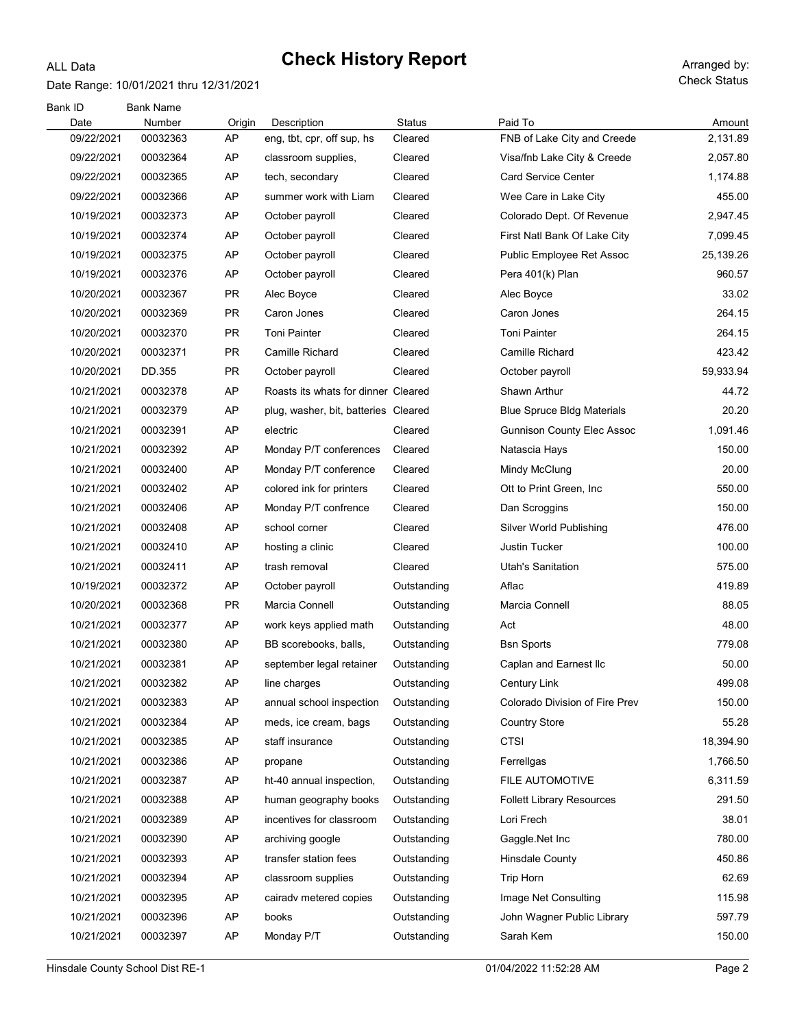#### Date Range: 10/01/2021 thru 12/31/2021

ALL Data

| Bank ID<br>Date | <b>Bank Name</b><br>Number | Origin    | Description                          | <b>Status</b> | Paid To                           | Amount    |
|-----------------|----------------------------|-----------|--------------------------------------|---------------|-----------------------------------|-----------|
| 09/22/2021      | 00032363                   | AP        | eng, tbt, cpr, off sup, hs           | Cleared       | FNB of Lake City and Creede       | 2,131.89  |
| 09/22/2021      | 00032364                   | AP        | classroom supplies,                  | Cleared       | Visa/fnb Lake City & Creede       | 2,057.80  |
| 09/22/2021      | 00032365                   | AP        | tech, secondary                      | Cleared       | <b>Card Service Center</b>        | 1,174.88  |
| 09/22/2021      | 00032366                   | AP        | summer work with Liam                | Cleared       | Wee Care in Lake City             | 455.00    |
| 10/19/2021      | 00032373                   | AP        | October payroll                      | Cleared       | Colorado Dept. Of Revenue         | 2,947.45  |
| 10/19/2021      | 00032374                   | AP        | October payroll                      | Cleared       | First Natl Bank Of Lake City      | 7,099.45  |
| 10/19/2021      | 00032375                   | AP        | October payroll                      | Cleared       | Public Employee Ret Assoc         | 25,139.26 |
| 10/19/2021      | 00032376                   | AP        | October payroll                      | Cleared       | Pera 401(k) Plan                  | 960.57    |
| 10/20/2021      | 00032367                   | <b>PR</b> | Alec Boyce                           | Cleared       | Alec Boyce                        | 33.02     |
| 10/20/2021      | 00032369                   | PR        | Caron Jones                          | Cleared       | Caron Jones                       | 264.15    |
| 10/20/2021      | 00032370                   | <b>PR</b> | <b>Toni Painter</b>                  | Cleared       | <b>Toni Painter</b>               | 264.15    |
| 10/20/2021      | 00032371                   | PR        | Camille Richard                      | Cleared       | Camille Richard                   | 423.42    |
| 10/20/2021      | DD.355                     | PR        | October payroll                      | Cleared       | October payroll                   | 59,933.94 |
| 10/21/2021      | 00032378                   | AP        | Roasts its whats for dinner Cleared  |               | Shawn Arthur                      | 44.72     |
| 10/21/2021      | 00032379                   | AP        | plug, washer, bit, batteries Cleared |               | <b>Blue Spruce Bldg Materials</b> | 20.20     |
| 10/21/2021      | 00032391                   | AP        | electric                             | Cleared       | <b>Gunnison County Elec Assoc</b> | 1,091.46  |
| 10/21/2021      | 00032392                   | AP        | Monday P/T conferences               | Cleared       | Natascia Hays                     | 150.00    |
| 10/21/2021      | 00032400                   | AP        | Monday P/T conference                | Cleared       | Mindy McClung                     | 20.00     |
| 10/21/2021      | 00032402                   | AP        | colored ink for printers             | Cleared       | Ott to Print Green, Inc.          | 550.00    |
| 10/21/2021      | 00032406                   | AP        | Monday P/T confrence                 | Cleared       | Dan Scroggins                     | 150.00    |
| 10/21/2021      | 00032408                   | AP        | school corner                        | Cleared       | <b>Silver World Publishing</b>    | 476.00    |
| 10/21/2021      | 00032410                   | AP        | hosting a clinic                     | Cleared       | <b>Justin Tucker</b>              | 100.00    |
| 10/21/2021      | 00032411                   | AP        | trash removal                        | Cleared       | Utah's Sanitation                 | 575.00    |
| 10/19/2021      | 00032372                   | AP        | October payroll                      | Outstanding   | Aflac                             | 419.89    |
| 10/20/2021      | 00032368                   | <b>PR</b> | Marcia Connell                       | Outstanding   | Marcia Connell                    | 88.05     |
| 10/21/2021      | 00032377                   | AP        | work keys applied math               | Outstanding   | Act                               | 48.00     |
| 10/21/2021      | 00032380                   | AP        | BB scorebooks, balls,                | Outstanding   | <b>Bsn Sports</b>                 | 779.08    |
| 10/21/2021      | 00032381                   | AP        | september legal retainer             | Outstanding   | Caplan and Earnest Ilc            | 50.00     |
| 10/21/2021      | 00032382                   | AP        | line charges                         | Outstanding   | Century Link                      | 499.08    |
| 10/21/2021      | 00032383                   | AP        | annual school inspection             | Outstanding   | Colorado Division of Fire Prev    | 150.00    |
| 10/21/2021      | 00032384                   | AP        | meds, ice cream, bags                | Outstanding   | <b>Country Store</b>              | 55.28     |
| 10/21/2021      | 00032385                   | AP        | staff insurance                      | Outstanding   | <b>CTSI</b>                       | 18,394.90 |
| 10/21/2021      | 00032386                   | AP        | propane                              | Outstanding   | Ferrellgas                        | 1,766.50  |
| 10/21/2021      | 00032387                   | AP        | ht-40 annual inspection,             | Outstanding   | FILE AUTOMOTIVE                   | 6,311.59  |
| 10/21/2021      | 00032388                   | AP        | human geography books                | Outstanding   | <b>Follett Library Resources</b>  | 291.50    |
| 10/21/2021      | 00032389                   | AP        | incentives for classroom             | Outstanding   | Lori Frech                        | 38.01     |
| 10/21/2021      | 00032390                   | AP        | archiving google                     | Outstanding   | Gaggle.Net Inc                    | 780.00    |
| 10/21/2021      | 00032393                   | AP        | transfer station fees                | Outstanding   | Hinsdale County                   | 450.86    |
| 10/21/2021      | 00032394                   | AP        | classroom supplies                   | Outstanding   | Trip Horn                         | 62.69     |
| 10/21/2021      | 00032395                   | AP        | cairadv metered copies               | Outstanding   | Image Net Consulting              | 115.98    |
| 10/21/2021      | 00032396                   | AP        | books                                | Outstanding   | John Wagner Public Library        | 597.79    |
| 10/21/2021      | 00032397                   | AP        | Monday P/T                           | Outstanding   | Sarah Kem                         | 150.00    |
|                 |                            |           |                                      |               |                                   |           |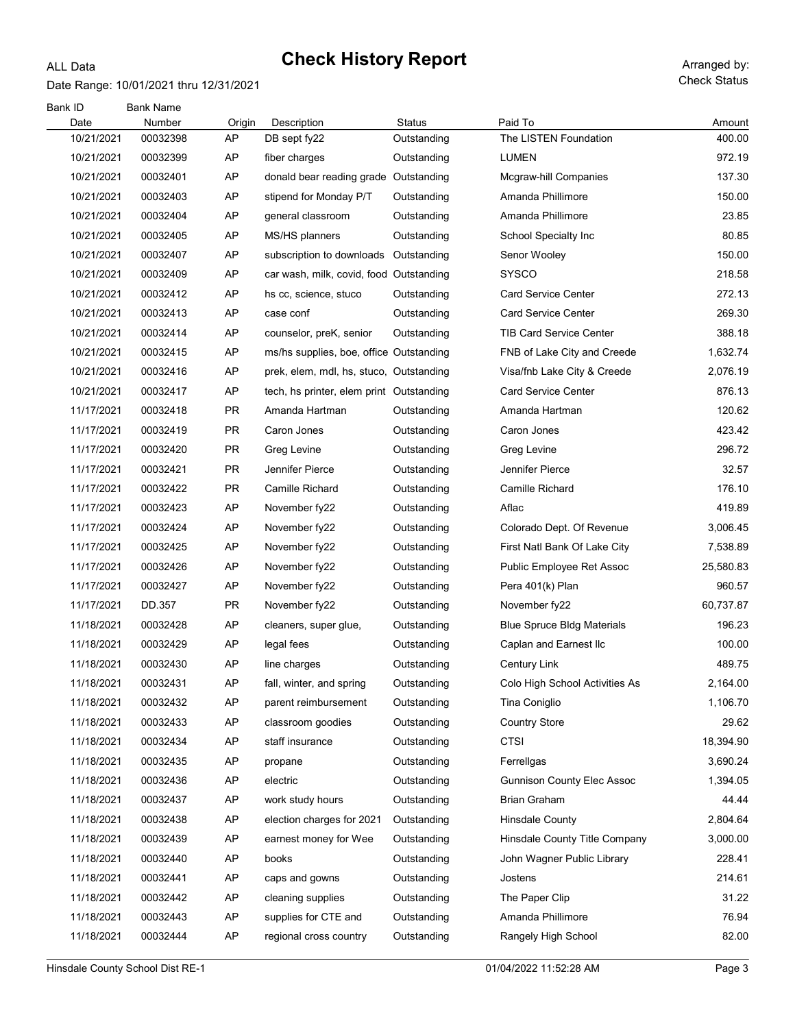#### Date Range: 10/01/2021 thru 12/31/2021

ALL Data

| Bank ID    | <b>Bank Name</b> |           |                                          |               |                                   |           |
|------------|------------------|-----------|------------------------------------------|---------------|-----------------------------------|-----------|
| Date       | Number           | Origin    | Description                              | <b>Status</b> | Paid To                           | Amount    |
| 10/21/2021 | 00032398         | AP        | DB sept fy22                             | Outstanding   | The LISTEN Foundation             | 400.00    |
| 10/21/2021 | 00032399         | AP        | fiber charges                            | Outstanding   | <b>LUMEN</b>                      | 972.19    |
| 10/21/2021 | 00032401         | AP        | donald bear reading grade Outstanding    |               | Mcgraw-hill Companies             | 137.30    |
| 10/21/2021 | 00032403         | AP        | stipend for Monday P/T                   | Outstanding   | Amanda Phillimore                 | 150.00    |
| 10/21/2021 | 00032404         | AP        | general classroom                        | Outstanding   | Amanda Phillimore                 | 23.85     |
| 10/21/2021 | 00032405         | AP        | MS/HS planners                           | Outstanding   | School Specialty Inc              | 80.85     |
| 10/21/2021 | 00032407         | AP        | subscription to downloads                | Outstanding   | Senor Wooley                      | 150.00    |
| 10/21/2021 | 00032409         | AP        | car wash, milk, covid, food Outstanding  |               | <b>SYSCO</b>                      | 218.58    |
| 10/21/2021 | 00032412         | AP        | hs cc, science, stuco                    | Outstanding   | <b>Card Service Center</b>        | 272.13    |
| 10/21/2021 | 00032413         | AP        | case conf                                | Outstanding   | <b>Card Service Center</b>        | 269.30    |
| 10/21/2021 | 00032414         | AP        | counselor, preK, senior                  | Outstanding   | TIB Card Service Center           | 388.18    |
| 10/21/2021 | 00032415         | AP        | ms/hs supplies, boe, office Outstanding  |               | FNB of Lake City and Creede       | 1,632.74  |
| 10/21/2021 | 00032416         | AP        | prek, elem, mdl, hs, stuco, Outstanding  |               | Visa/fnb Lake City & Creede       | 2,076.19  |
| 10/21/2021 | 00032417         | AP        | tech, hs printer, elem print Outstanding |               | <b>Card Service Center</b>        | 876.13    |
| 11/17/2021 | 00032418         | <b>PR</b> | Amanda Hartman                           | Outstanding   | Amanda Hartman                    | 120.62    |
| 11/17/2021 | 00032419         | PR        | Caron Jones                              | Outstanding   | Caron Jones                       | 423.42    |
| 11/17/2021 | 00032420         | <b>PR</b> | Greg Levine                              | Outstanding   | Greg Levine                       | 296.72    |
| 11/17/2021 | 00032421         | PR        | Jennifer Pierce                          | Outstanding   | Jennifer Pierce                   | 32.57     |
| 11/17/2021 | 00032422         | <b>PR</b> | Camille Richard                          | Outstanding   | Camille Richard                   | 176.10    |
| 11/17/2021 | 00032423         | AP        | November fy22                            | Outstanding   | Aflac                             | 419.89    |
| 11/17/2021 | 00032424         | AP        | November fy22                            | Outstanding   | Colorado Dept. Of Revenue         | 3,006.45  |
| 11/17/2021 | 00032425         | AP        | November fy22                            | Outstanding   | First Natl Bank Of Lake City      | 7,538.89  |
| 11/17/2021 | 00032426         | AP        | November fy22                            | Outstanding   | Public Employee Ret Assoc         | 25,580.83 |
| 11/17/2021 | 00032427         | AP        | November fy22                            | Outstanding   | Pera 401(k) Plan                  | 960.57    |
| 11/17/2021 | DD.357           | PR        | November fy22                            | Outstanding   | November fy22                     | 60,737.87 |
| 11/18/2021 | 00032428         | AP        | cleaners, super glue,                    | Outstanding   | <b>Blue Spruce Bldg Materials</b> | 196.23    |
| 11/18/2021 | 00032429         | AP        | legal fees                               | Outstanding   | Caplan and Earnest Ilc            | 100.00    |
| 11/18/2021 | 00032430         | AP        | line charges                             | Outstanding   | <b>Century Link</b>               | 489.75    |
| 11/18/2021 | 00032431         | AP        | fall, winter, and spring                 | Outstanding   | Colo High School Activities As    | 2,164.00  |
| 11/18/2021 | 00032432         | AP        | parent reimbursement                     | Outstanding   | Tina Coniglio                     | 1,106.70  |
| 11/18/2021 | 00032433         | AP        | classroom goodies                        | Outstanding   | <b>Country Store</b>              | 29.62     |
| 11/18/2021 | 00032434         | AP        | staff insurance                          | Outstanding   | <b>CTSI</b>                       | 18,394.90 |
| 11/18/2021 | 00032435         | AP        | propane                                  | Outstanding   | Ferrellgas                        | 3,690.24  |
| 11/18/2021 | 00032436         | AP        | electric                                 | Outstanding   | <b>Gunnison County Elec Assoc</b> | 1,394.05  |
| 11/18/2021 | 00032437         | AP        | work study hours                         | Outstanding   | <b>Brian Graham</b>               | 44.44     |
| 11/18/2021 | 00032438         | AP        | election charges for 2021                | Outstanding   | Hinsdale County                   | 2,804.64  |
| 11/18/2021 | 00032439         | AP        | earnest money for Wee                    | Outstanding   | Hinsdale County Title Company     | 3,000.00  |
| 11/18/2021 | 00032440         | AP        | books                                    | Outstanding   | John Wagner Public Library        | 228.41    |
| 11/18/2021 | 00032441         | AP        | caps and gowns                           | Outstanding   | Jostens                           | 214.61    |
| 11/18/2021 | 00032442         | AP        | cleaning supplies                        | Outstanding   | The Paper Clip                    | 31.22     |
| 11/18/2021 | 00032443         | AP        | supplies for CTE and                     | Outstanding   | Amanda Phillimore                 | 76.94     |
| 11/18/2021 | 00032444         | AP        | regional cross country                   | Outstanding   | Rangely High School               | 82.00     |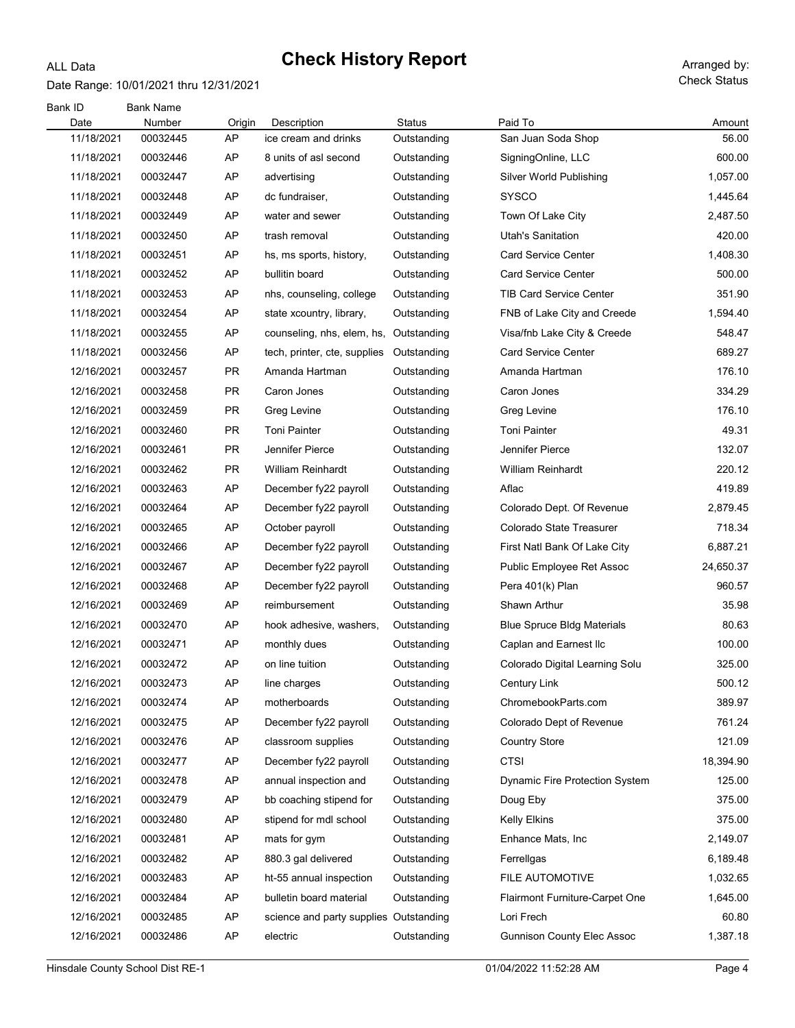#### Date Range: 10/01/2021 thru 12/31/2021

ALL Data

| Bank ID<br>Date | <b>Bank Name</b><br>Number | Origin    | Description                            | Status      | Paid To                               | Amount    |
|-----------------|----------------------------|-----------|----------------------------------------|-------------|---------------------------------------|-----------|
| 11/18/2021      | 00032445                   | AP        | ice cream and drinks                   | Outstanding | San Juan Soda Shop                    | 56.00     |
| 11/18/2021      | 00032446                   | AP        | 8 units of asl second                  | Outstanding | SigningOnline, LLC                    | 600.00    |
| 11/18/2021      | 00032447                   | AP        | advertising                            | Outstanding | Silver World Publishing               | 1,057.00  |
| 11/18/2021      | 00032448                   | AP        | dc fundraiser,                         | Outstanding | <b>SYSCO</b>                          | 1,445.64  |
| 11/18/2021      | 00032449                   | AP        | water and sewer                        | Outstanding | Town Of Lake City                     | 2,487.50  |
| 11/18/2021      | 00032450                   | AP        | trash removal                          | Outstanding | Utah's Sanitation                     | 420.00    |
| 11/18/2021      | 00032451                   | AP        | hs, ms sports, history,                | Outstanding | <b>Card Service Center</b>            | 1,408.30  |
| 11/18/2021      | 00032452                   | AP        | bullitin board                         | Outstanding | <b>Card Service Center</b>            | 500.00    |
| 11/18/2021      | 00032453                   | AP        | nhs, counseling, college               | Outstanding | <b>TIB Card Service Center</b>        | 351.90    |
| 11/18/2021      | 00032454                   | AP        | state xcountry, library,               | Outstanding | FNB of Lake City and Creede           | 1,594.40  |
| 11/18/2021      | 00032455                   | AP        | counseling, nhs, elem, hs,             | Outstanding | Visa/fnb Lake City & Creede           | 548.47    |
| 11/18/2021      | 00032456                   | AP        | tech, printer, cte, supplies           | Outstanding | <b>Card Service Center</b>            | 689.27    |
| 12/16/2021      | 00032457                   | <b>PR</b> | Amanda Hartman                         | Outstanding | Amanda Hartman                        | 176.10    |
| 12/16/2021      | 00032458                   | <b>PR</b> | Caron Jones                            | Outstanding | Caron Jones                           | 334.29    |
| 12/16/2021      | 00032459                   | PR        | Greg Levine                            | Outstanding | Greg Levine                           | 176.10    |
| 12/16/2021      | 00032460                   | PR        | Toni Painter                           | Outstanding | <b>Toni Painter</b>                   | 49.31     |
| 12/16/2021      | 00032461                   | <b>PR</b> | Jennifer Pierce                        | Outstanding | Jennifer Pierce                       | 132.07    |
| 12/16/2021      | 00032462                   | PR        | <b>William Reinhardt</b>               | Outstanding | <b>William Reinhardt</b>              | 220.12    |
| 12/16/2021      | 00032463                   | AP        | December fy22 payroll                  | Outstanding | Aflac                                 | 419.89    |
| 12/16/2021      | 00032464                   | AP        | December fy22 payroll                  | Outstanding | Colorado Dept. Of Revenue             | 2,879.45  |
| 12/16/2021      | 00032465                   | AP        | October payroll                        | Outstanding | Colorado State Treasurer              | 718.34    |
| 12/16/2021      | 00032466                   | AP        | December fy22 payroll                  | Outstanding | First Natl Bank Of Lake City          | 6,887.21  |
| 12/16/2021      | 00032467                   | AP        | December fy22 payroll                  | Outstanding | Public Employee Ret Assoc             | 24,650.37 |
| 12/16/2021      | 00032468                   | AP        | December fy22 payroll                  | Outstanding | Pera 401(k) Plan                      | 960.57    |
| 12/16/2021      | 00032469                   | AP        | reimbursement                          | Outstanding | Shawn Arthur                          | 35.98     |
| 12/16/2021      | 00032470                   | AP        | hook adhesive, washers,                | Outstanding | <b>Blue Spruce Bldg Materials</b>     | 80.63     |
| 12/16/2021      | 00032471                   | AP        | monthly dues                           | Outstanding | Caplan and Earnest Ilc                | 100.00    |
| 12/16/2021      | 00032472                   | AP        | on line tuition                        | Outstanding | Colorado Digital Learning Solu        | 325.00    |
| 12/16/2021      | 00032473                   | AP        | line charges                           | Outstanding | Century Link                          | 500.12    |
| 12/16/2021      | 00032474                   | AP        | motherboards                           | Outstanding | ChromebookParts.com                   | 389.97    |
| 12/16/2021      | 00032475                   | AP        | December fy22 payroll                  | Outstanding | Colorado Dept of Revenue              | 761.24    |
| 12/16/2021      | 00032476                   | AP        | classroom supplies                     | Outstanding | <b>Country Store</b>                  | 121.09    |
| 12/16/2021      | 00032477                   | AP        | December fy22 payroll                  | Outstanding | <b>CTSI</b>                           | 18,394.90 |
| 12/16/2021      | 00032478                   | AP        | annual inspection and                  | Outstanding | <b>Dynamic Fire Protection System</b> | 125.00    |
| 12/16/2021      | 00032479                   | AP        | bb coaching stipend for                | Outstanding | Doug Eby                              | 375.00    |
| 12/16/2021      | 00032480                   | AP        | stipend for mdl school                 | Outstanding | <b>Kelly Elkins</b>                   | 375.00    |
| 12/16/2021      | 00032481                   | AP        | mats for gym                           | Outstanding | Enhance Mats, Inc.                    | 2,149.07  |
| 12/16/2021      | 00032482                   | AP        | 880.3 gal delivered                    | Outstanding | Ferrellgas                            | 6,189.48  |
| 12/16/2021      | 00032483                   | AP        | ht-55 annual inspection                | Outstanding | FILE AUTOMOTIVE                       | 1,032.65  |
| 12/16/2021      | 00032484                   | AP        | bulletin board material                | Outstanding | Flairmont Furniture-Carpet One        | 1,645.00  |
| 12/16/2021      | 00032485                   | AP        | science and party supplies Outstanding |             | Lori Frech                            | 60.80     |
| 12/16/2021      | 00032486                   | AP        | electric                               | Outstanding | <b>Gunnison County Elec Assoc</b>     | 1,387.18  |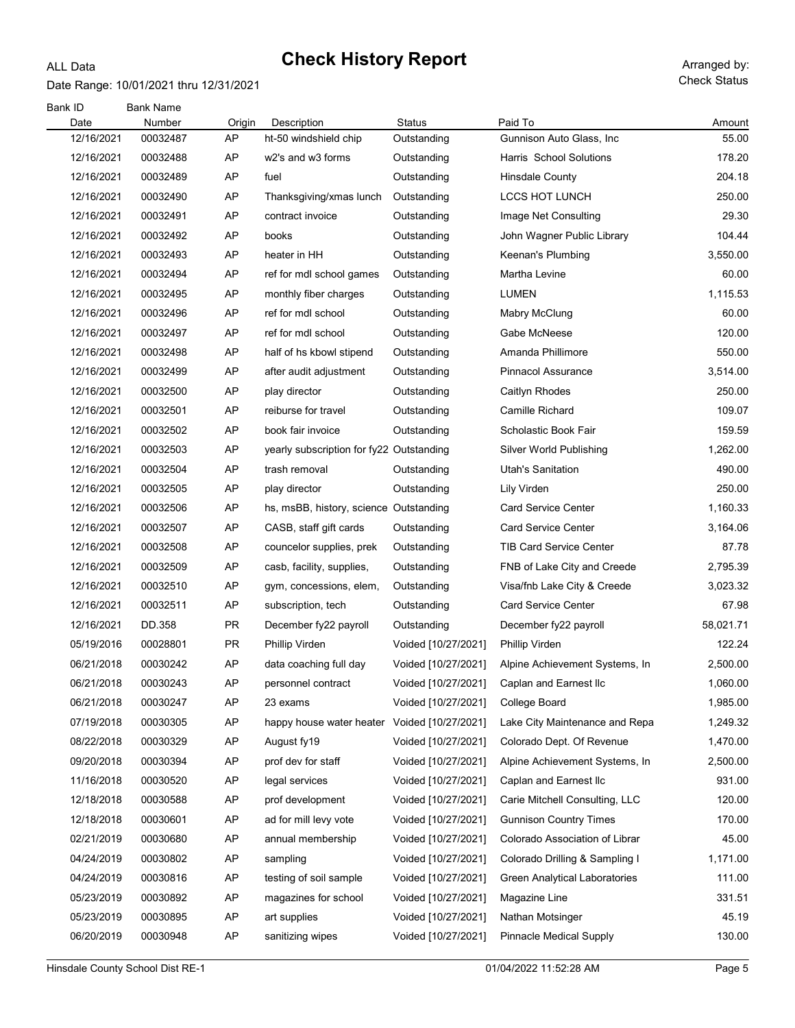#### Date Range: 10/01/2021 thru 12/31/2021

ALL Data

| Bank ID<br>Date | <b>Bank Name</b><br>Number | Origin    | Description                                  | <b>Status</b>       | Paid To                        | Amount    |
|-----------------|----------------------------|-----------|----------------------------------------------|---------------------|--------------------------------|-----------|
| 12/16/2021      | 00032487                   | AP        | ht-50 windshield chip                        | Outstanding         | Gunnison Auto Glass, Inc       | 55.00     |
| 12/16/2021      | 00032488                   | AP        | w2's and w3 forms                            | Outstanding         | Harris School Solutions        | 178.20    |
| 12/16/2021      | 00032489                   | AP        | fuel                                         | Outstanding         | Hinsdale County                | 204.18    |
| 12/16/2021      | 00032490                   | AP        | Thanksgiving/xmas lunch                      | Outstanding         | LCCS HOT LUNCH                 | 250.00    |
| 12/16/2021      | 00032491                   | AP        | contract invoice                             | Outstanding         | Image Net Consulting           | 29.30     |
| 12/16/2021      | 00032492                   | AP        | books                                        | Outstanding         | John Wagner Public Library     | 104.44    |
| 12/16/2021      | 00032493                   | AP        | heater in HH                                 | Outstanding         | Keenan's Plumbing              | 3,550.00  |
| 12/16/2021      | 00032494                   | AP        | ref for mdl school games                     | Outstanding         | Martha Levine                  | 60.00     |
| 12/16/2021      | 00032495                   | AP        | monthly fiber charges                        | Outstanding         | LUMEN                          | 1,115.53  |
| 12/16/2021      | 00032496                   | AP        | ref for mdl school                           | Outstanding         | Mabry McClung                  | 60.00     |
| 12/16/2021      | 00032497                   | AP        | ref for mdl school                           | Outstanding         | Gabe McNeese                   | 120.00    |
| 12/16/2021      | 00032498                   | AP        | half of hs kbowl stipend                     | Outstanding         | Amanda Phillimore              | 550.00    |
| 12/16/2021      | 00032499                   | AP        | after audit adjustment                       | Outstanding         | <b>Pinnacol Assurance</b>      | 3,514.00  |
| 12/16/2021      | 00032500                   | AP        | play director                                | Outstanding         | Caitlyn Rhodes                 | 250.00    |
| 12/16/2021      | 00032501                   | AP        | reiburse for travel                          | Outstanding         | Camille Richard                | 109.07    |
| 12/16/2021      | 00032502                   | AP        | book fair invoice                            | Outstanding         | Scholastic Book Fair           | 159.59    |
| 12/16/2021      | 00032503                   | AP        | yearly subscription for fy22 Outstanding     |                     | Silver World Publishing        | 1,262.00  |
| 12/16/2021      | 00032504                   | AP        | trash removal                                | Outstanding         | Utah's Sanitation              | 490.00    |
| 12/16/2021      | 00032505                   | AP        | play director                                | Outstanding         | Lily Virden                    | 250.00    |
| 12/16/2021      | 00032506                   | AP        | hs, msBB, history, science Outstanding       |                     | <b>Card Service Center</b>     | 1,160.33  |
| 12/16/2021      | 00032507                   | AP        | CASB, staff gift cards                       | Outstanding         | <b>Card Service Center</b>     | 3,164.06  |
| 12/16/2021      | 00032508                   | AP        | councelor supplies, prek                     | Outstanding         | <b>TIB Card Service Center</b> | 87.78     |
| 12/16/2021      | 00032509                   | AP        | casb, facility, supplies,                    | Outstanding         | FNB of Lake City and Creede    | 2,795.39  |
| 12/16/2021      | 00032510                   | AP        | gym, concessions, elem,                      | Outstanding         | Visa/fnb Lake City & Creede    | 3,023.32  |
| 12/16/2021      | 00032511                   | AP        | subscription, tech                           | Outstanding         | <b>Card Service Center</b>     | 67.98     |
| 12/16/2021      | DD.358                     | <b>PR</b> | December fy22 payroll                        | Outstanding         | December fy22 payroll          | 58,021.71 |
| 05/19/2016      | 00028801                   | PR.       | Phillip Virden                               | Voided [10/27/2021] | Phillip Virden                 | 122.24    |
| 06/21/2018      | 00030242                   | AP        | data coaching full day                       | Voided [10/27/2021] | Alpine Achievement Systems, In | 2,500.00  |
| 06/21/2018      | 00030243                   | AP        | personnel contract                           | Voided [10/27/2021] | Caplan and Earnest Ilc         | 1,060.00  |
| 06/21/2018      | 00030247                   | AP        | 23 exams                                     | Voided [10/27/2021] | College Board                  | 1,985.00  |
| 07/19/2018      | 00030305                   | AP        | happy house water heater Voided [10/27/2021] |                     | Lake City Maintenance and Repa | 1,249.32  |
| 08/22/2018      | 00030329                   | AP        | August fy19                                  | Voided [10/27/2021] | Colorado Dept. Of Revenue      | 1,470.00  |
| 09/20/2018      | 00030394                   | AP        | prof dev for staff                           | Voided [10/27/2021] | Alpine Achievement Systems, In | 2,500.00  |
| 11/16/2018      | 00030520                   | AP        | legal services                               | Voided [10/27/2021] | Caplan and Earnest Ilc         | 931.00    |
| 12/18/2018      | 00030588                   | AP        | prof development                             | Voided [10/27/2021] | Carie Mitchell Consulting, LLC | 120.00    |
| 12/18/2018      | 00030601                   | AP        | ad for mill levy vote                        | Voided [10/27/2021] | <b>Gunnison Country Times</b>  | 170.00    |
| 02/21/2019      | 00030680                   | AP        | annual membership                            | Voided [10/27/2021] | Colorado Association of Librar | 45.00     |
| 04/24/2019      | 00030802                   | AP        | sampling                                     | Voided [10/27/2021] | Colorado Drilling & Sampling I | 1,171.00  |
| 04/24/2019      | 00030816                   | AP        | testing of soil sample                       | Voided [10/27/2021] | Green Analytical Laboratories  | 111.00    |
| 05/23/2019      | 00030892                   | AP        | magazines for school                         | Voided [10/27/2021] | Magazine Line                  | 331.51    |
| 05/23/2019      | 00030895                   | AP        | art supplies                                 | Voided [10/27/2021] | Nathan Motsinger               | 45.19     |
| 06/20/2019      | 00030948                   | AP        | sanitizing wipes                             | Voided [10/27/2021] | <b>Pinnacle Medical Supply</b> | 130.00    |